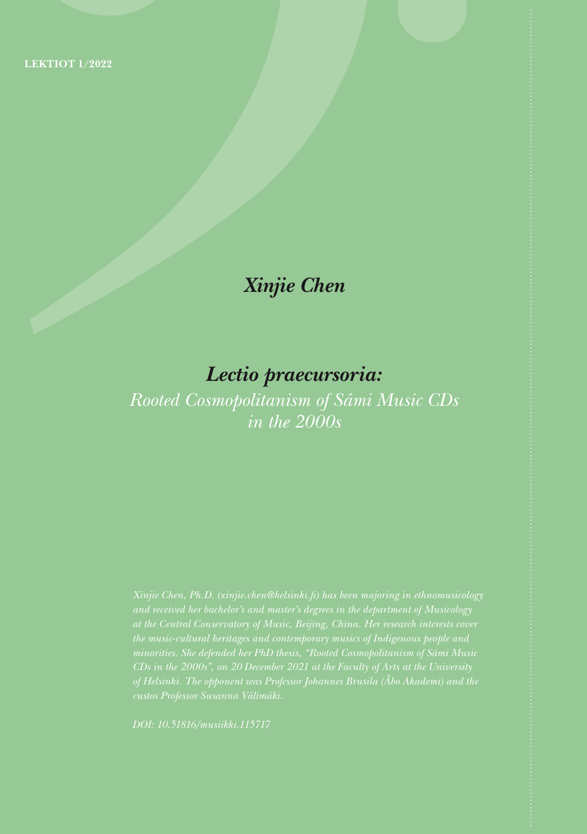## *Xinjie Chen*

# *Lectio praecursoria:*

*Rooted Cosmopolitanism of Sámi Music CDs in the 2000s*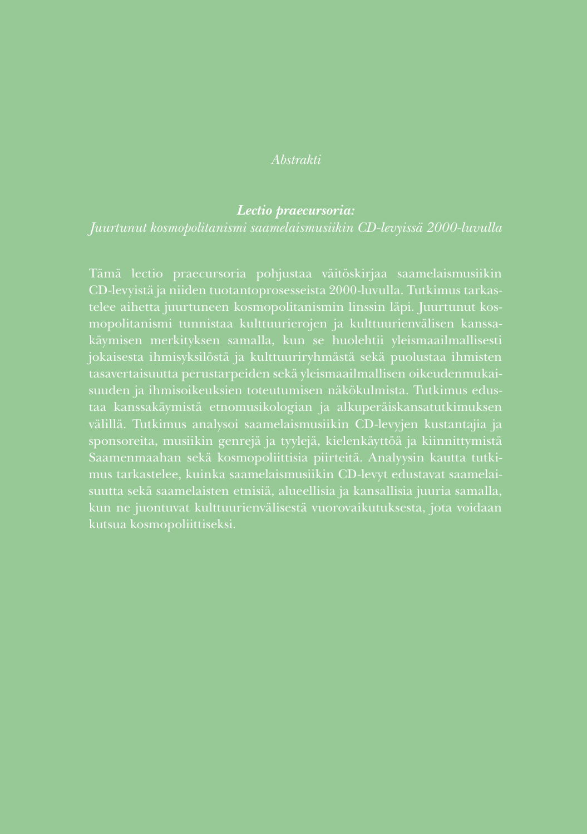### *Abstrakti*

#### *Lectio praecursoria:*

### *Juurtunut kosmopolitanismi saamelaismusiikin CD-levyissä 2000-luvulla*

Tämä lectio praecursoria pohjustaa väitöskirjaa saamelaismusiikin telee aihetta juurtuneen kosmopolitanismin linssin läpi. Juurtunut koskäymisen merkityksen samalla, kun se huolehtii yleismaailmallisesti jokaisesta ihmisyksilöstä ja kulttuuriryhmästä sekä puolustaa ihmisten suuden ja ihmisoikeuksien toteutumisen näkökulmista. Tutkimus edustaa kanssakäymistä etnomusikologian ja alkuperäiskansatutkimuksen sponsoreita, musiikin genrejä ja tyylejä, kielenkäyttöä ja kiinnittymistä Saamenmaahan sekä kosmopoliittisia piirteitä. Analyysin kautta tutkimus tarkastelee, kuinka saamelaismusiikin CD-levyt edustavat saamelaikun ne juontuvat kulttuurienvälisestä vuorovaikutuksesta, jota voidaan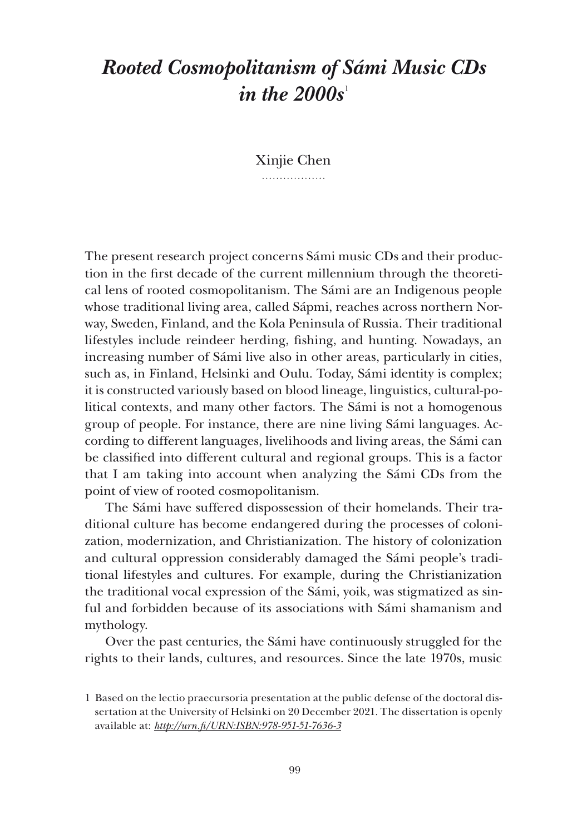## *Rooted Cosmopolitanism of Sámi Music CDs in the 2000s*<sup>1</sup>

Xinjie Chen . . . . . . . . . . . . . . . . .

The present research project concerns Sámi music CDs and their production in the first decade of the current millennium through the theoretical lens of rooted cosmopolitanism. The Sámi are an Indigenous people whose traditional living area, called Sápmi, reaches across northern Norway, Sweden, Finland, and the Kola Peninsula of Russia. Their traditional lifestyles include reindeer herding, fishing, and hunting. Nowadays, an increasing number of Sámi live also in other areas, particularly in cities, such as, in Finland, Helsinki and Oulu. Today, Sámi identity is complex; it is constructed variously based on blood lineage, linguistics, cultural-political contexts, and many other factors. The Sámi is not a homogenous group of people. For instance, there are nine living Sámi languages. According to different languages, livelihoods and living areas, the Sámi can be classified into different cultural and regional groups. This is a factor that I am taking into account when analyzing the Sámi CDs from the point of view of rooted cosmopolitanism.

The Sámi have suffered dispossession of their homelands. Their traditional culture has become endangered during the processes of colonization, modernization, and Christianization. The history of colonization and cultural oppression considerably damaged the Sámi people's traditional lifestyles and cultures. For example, during the Christianization the traditional vocal expression of the Sámi, yoik, was stigmatized as sinful and forbidden because of its associations with Sámi shamanism and mythology.

Over the past centuries, the Sámi have continuously struggled for the rights to their lands, cultures, and resources. Since the late 1970s, music

<sup>1</sup> Based on the lectio praecursoria presentation at the public defense of the doctoral dissertation at the University of Helsinki on 20 December 2021. The dissertation is openly available at: *http://urn.fi/URN:ISBN:978-951-51-7636-3*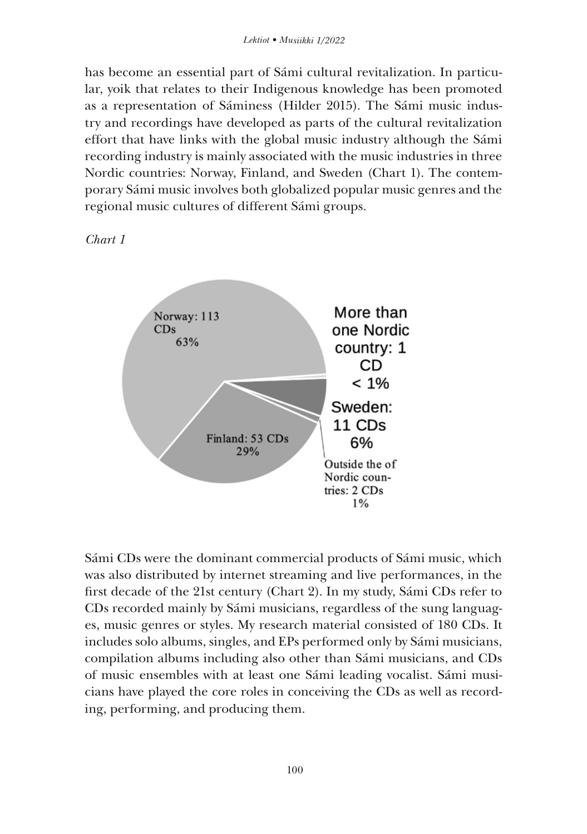has become an essential part of Sámi cultural revitalization. In particular, yoik that relates to their Indigenous knowledge has been promoted as a representation of Sáminess (Hilder 2015). The Sámi music industry and recordings have developed as parts of the cultural revitalization effort that have links with the global music industry although the Sámi recording industry is mainly associated with the music industries in three Nordic countries: Norway, Finland, and Sweden (Chart 1). The contemporary Sámi music involves both globalized popular music genres and the regional music cultures of different Sámi groups.





Sámi CDs were the dominant commercial products of Sámi music, which was also distributed by internet streaming and live performances, in the first decade of the 21st century (Chart 2). In my study, Sámi CDs refer to CDs recorded mainly by Sámi musicians, regardless of the sung languages, music genres or styles. My research material consisted of 180 CDs. It includes solo albums, singles, and EPs performed only by Sámi musicians, compilation albums including also other than Sámi musicians, and CDs of music ensembles with at least one Sámi leading vocalist. Sámi musicians have played the core roles in conceiving the CDs as well as recording, performing, and producing them.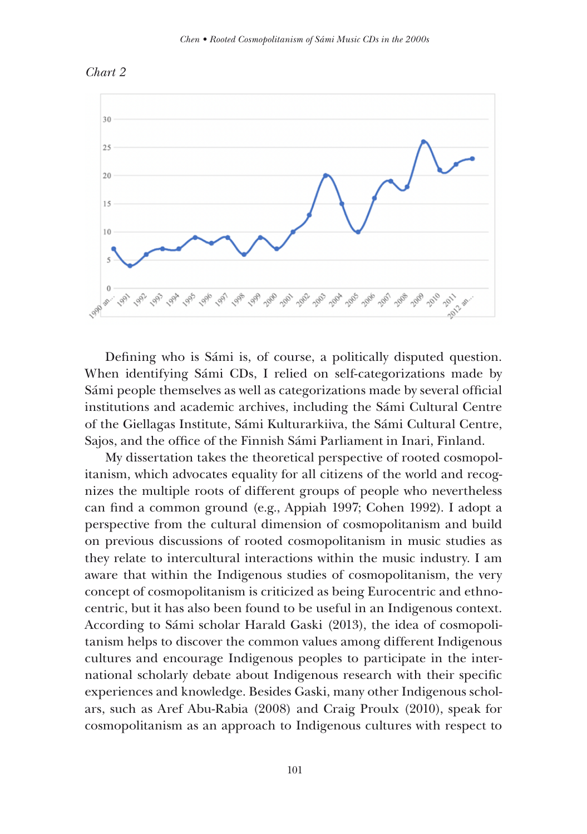



Defining who is Sámi is, of course, a politically disputed question. When identifying Sámi CDs, I relied on self-categorizations made by Sámi people themselves as well as categorizations made by several official institutions and academic archives, including the Sámi Cultural Centre of the Giellagas Institute, Sámi Kulturarkiiva, the Sámi Cultural Centre, Sajos, and the office of the Finnish Sámi Parliament in Inari, Finland.

My dissertation takes the theoretical perspective of rooted cosmopolitanism, which advocates equality for all citizens of the world and recognizes the multiple roots of different groups of people who nevertheless can find a common ground (e.g., Appiah 1997; Cohen 1992). I adopt a perspective from the cultural dimension of cosmopolitanism and build on previous discussions of rooted cosmopolitanism in music studies as they relate to intercultural interactions within the music industry. I am aware that within the Indigenous studies of cosmopolitanism, the very concept of cosmopolitanism is criticized as being Eurocentric and ethnocentric, but it has also been found to be useful in an Indigenous context. According to Sámi scholar Harald Gaski (2013), the idea of cosmopolitanism helps to discover the common values among different Indigenous cultures and encourage Indigenous peoples to participate in the international scholarly debate about Indigenous research with their specific experiences and knowledge. Besides Gaski, many other Indigenous scholars, such as Aref Abu-Rabia (2008) and Craig Proulx (2010), speak for cosmopolitanism as an approach to Indigenous cultures with respect to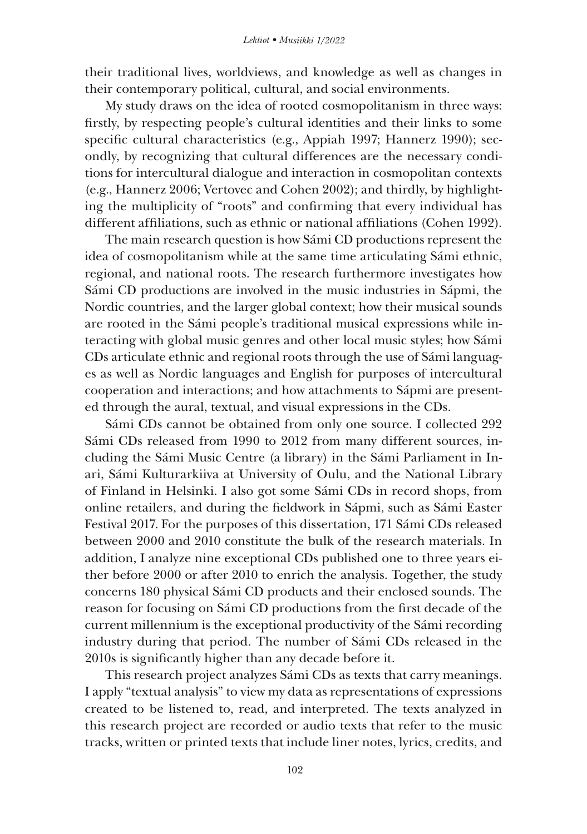their traditional lives, worldviews, and knowledge as well as changes in their contemporary political, cultural, and social environments.

My study draws on the idea of rooted cosmopolitanism in three ways: firstly, by respecting people's cultural identities and their links to some specific cultural characteristics (e.g., Appiah 1997; Hannerz 1990); secondly, by recognizing that cultural differences are the necessary conditions for intercultural dialogue and interaction in cosmopolitan contexts (e.g., Hannerz 2006; Vertovec and Cohen 2002); and thirdly, by highlighting the multiplicity of "roots" and confirming that every individual has different affiliations, such as ethnic or national affiliations (Cohen 1992).

The main research question is how Sámi CD productions represent the idea of cosmopolitanism while at the same time articulating Sámi ethnic, regional, and national roots. The research furthermore investigates how Sámi CD productions are involved in the music industries in Sápmi, the Nordic countries, and the larger global context; how their musical sounds are rooted in the Sámi people's traditional musical expressions while interacting with global music genres and other local music styles; how Sámi CDs articulate ethnic and regional roots through the use of Sámi languages as well as Nordic languages and English for purposes of intercultural cooperation and interactions; and how attachments to Sápmi are presented through the aural, textual, and visual expressions in the CDs.

Sámi CDs cannot be obtained from only one source. I collected 292 Sámi CDs released from 1990 to 2012 from many different sources, including the Sámi Music Centre (a library) in the Sámi Parliament in Inari, Sámi Kulturarkiiva at University of Oulu, and the National Library of Finland in Helsinki. I also got some Sámi CDs in record shops, from online retailers, and during the fieldwork in Sápmi, such as Sámi Easter Festival 2017. For the purposes of this dissertation, 171 Sámi CDs released between 2000 and 2010 constitute the bulk of the research materials. In addition, I analyze nine exceptional CDs published one to three years either before 2000 or after 2010 to enrich the analysis. Together, the study concerns 180 physical Sámi CD products and their enclosed sounds. The reason for focusing on Sámi CD productions from the first decade of the current millennium is the exceptional productivity of the Sámi recording industry during that period. The number of Sámi CDs released in the 2010s is significantly higher than any decade before it.

This research project analyzes Sámi CDs as texts that carry meanings. I apply "textual analysis" to view my data as representations of expressions created to be listened to, read, and interpreted. The texts analyzed in this research project are recorded or audio texts that refer to the music tracks, written or printed texts that include liner notes, lyrics, credits, and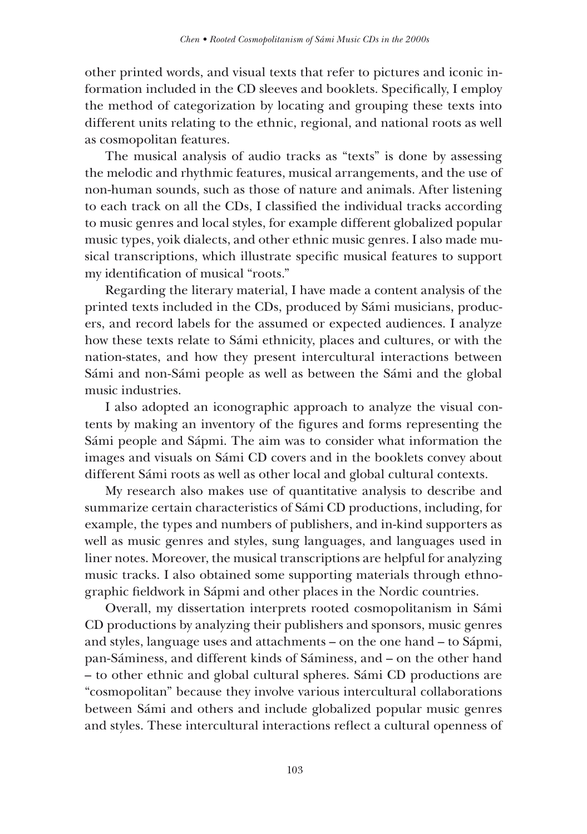other printed words, and visual texts that refer to pictures and iconic information included in the CD sleeves and booklets. Specifically, I employ the method of categorization by locating and grouping these texts into different units relating to the ethnic, regional, and national roots as well as cosmopolitan features.

The musical analysis of audio tracks as "texts" is done by assessing the melodic and rhythmic features, musical arrangements, and the use of non-human sounds, such as those of nature and animals. After listening to each track on all the CDs, I classified the individual tracks according to music genres and local styles, for example different globalized popular music types, yoik dialects, and other ethnic music genres. I also made musical transcriptions, which illustrate specific musical features to support my identification of musical "roots."

Regarding the literary material, I have made a content analysis of the printed texts included in the CDs, produced by Sámi musicians, producers, and record labels for the assumed or expected audiences. I analyze how these texts relate to Sámi ethnicity, places and cultures, or with the nation-states, and how they present intercultural interactions between Sámi and non-Sámi people as well as between the Sámi and the global music industries.

I also adopted an iconographic approach to analyze the visual contents by making an inventory of the figures and forms representing the Sámi people and Sápmi. The aim was to consider what information the images and visuals on Sámi CD covers and in the booklets convey about different Sámi roots as well as other local and global cultural contexts.

My research also makes use of quantitative analysis to describe and summarize certain characteristics of Sámi CD productions, including, for example, the types and numbers of publishers, and in-kind supporters as well as music genres and styles, sung languages, and languages used in liner notes. Moreover, the musical transcriptions are helpful for analyzing music tracks. I also obtained some supporting materials through ethnographic fieldwork in Sápmi and other places in the Nordic countries.

Overall, my dissertation interprets rooted cosmopolitanism in Sámi CD productions by analyzing their publishers and sponsors, music genres and styles, language uses and attachments – on the one hand – to Sápmi, pan-Sáminess, and different kinds of Sáminess, and – on the other hand – to other ethnic and global cultural spheres. Sámi CD productions are "cosmopolitan" because they involve various intercultural collaborations between Sámi and others and include globalized popular music genres and styles. These intercultural interactions reflect a cultural openness of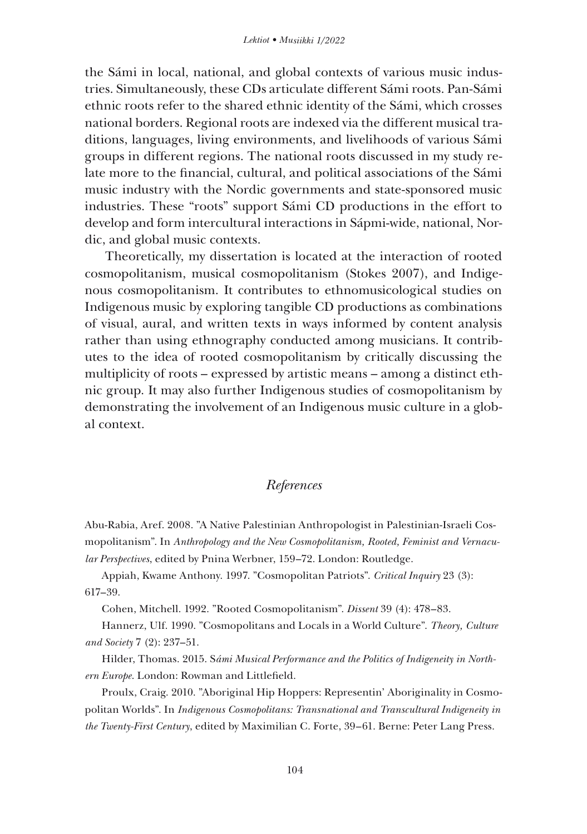the Sámi in local, national, and global contexts of various music industries. Simultaneously, these CDs articulate different Sámi roots. Pan-Sámi ethnic roots refer to the shared ethnic identity of the Sámi, which crosses national borders. Regional roots are indexed via the different musical traditions, languages, living environments, and livelihoods of various Sámi groups in different regions. The national roots discussed in my study relate more to the financial, cultural, and political associations of the Sámi music industry with the Nordic governments and state-sponsored music industries. These "roots" support Sámi CD productions in the effort to develop and form intercultural interactions in Sápmi-wide, national, Nordic, and global music contexts.

Theoretically, my dissertation is located at the interaction of rooted cosmopolitanism, musical cosmopolitanism (Stokes 2007), and Indigenous cosmopolitanism. It contributes to ethnomusicological studies on Indigenous music by exploring tangible CD productions as combinations of visual, aural, and written texts in ways informed by content analysis rather than using ethnography conducted among musicians. It contributes to the idea of rooted cosmopolitanism by critically discussing the multiplicity of roots – expressed by artistic means – among a distinct ethnic group. It may also further Indigenous studies of cosmopolitanism by demonstrating the involvement of an Indigenous music culture in a global context.

## *References*

Abu-Rabia, Aref. 2008. "A Native Palestinian Anthropologist in Palestinian-Israeli Cosmopolitanism". In *Anthropology and the New Cosmopolitanism, Rooted, Feminist and Vernacular Perspectives*, edited by Pnina Werbner, 159–72. London: Routledge.

Appiah, Kwame Anthony. 1997. "Cosmopolitan Patriots". *Critical Inquiry* 23 (3): 617–39.

Cohen, Mitchell. 1992. "Rooted Cosmopolitanism". *Dissent* 39 (4): 478–83.

Hannerz, Ulf. 1990. "Cosmopolitans and Locals in a World Culture". *Theory, Culture and Society* 7 (2): 237–51.

Hilder, Thomas. 2015. S*ámi Musical Performance and the Politics of Indigeneity in Northern Europe*. London: Rowman and Littlefield.

Proulx, Craig. 2010. "Aboriginal Hip Hoppers: Representin' Aboriginality in Cosmopolitan Worlds". In *Indigenous Cosmopolitans: Transnational and Transcultural Indigeneity in the Twenty-First Century*, edited by Maximilian C. Forte, 39–61. Berne: Peter Lang Press.